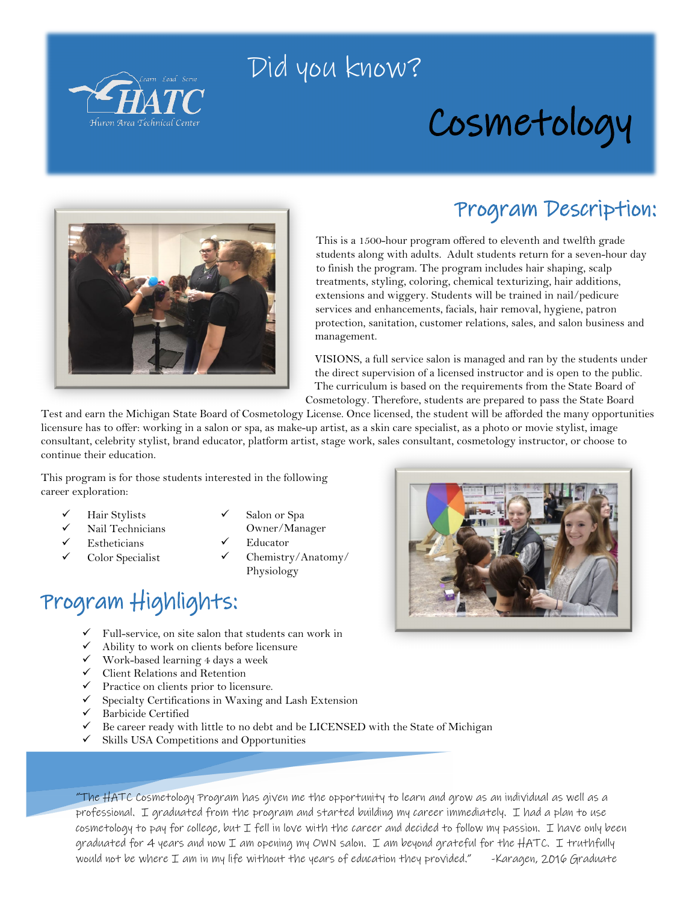

## Did you know?

# Cosmetology



### Program Description:

This is a 1500-hour program offered to eleventh and twelfth grade students along with adults. Adult students return for a seven-hour day to finish the program. The program includes hair shaping, scalp treatments, styling, coloring, chemical texturizing, hair additions, extensions and wiggery. Students will be trained in nail/pedicure services and enhancements, facials, hair removal, hygiene, patron protection, sanitation, customer relations, sales, and salon business and management.

VISIONS, a full service salon is managed and ran by the students under the direct supervision of a licensed instructor and is open to the public. The curriculum is based on the requirements from the State Board of Cosmetology. Therefore, students are prepared to pass the State Board

Test and earn the Michigan State Board of Cosmetology License. Once licensed, the student will be afforded the many opportunities licensure has to offer: working in a salon or spa, as make-up artist, as a skin care specialist, as a photo or movie stylist, image consultant, celebrity stylist, brand educator, platform artist, stage work, sales consultant, cosmetology instructor, or choose to continue their education.

This program is for those students interested in the following career exploration:

- Hair Stylists
- Nail Technicians
- Estheticians
- Color Specialist
- Salon or Spa
- Educator Chemistry/Anatomy/ Physiology

Owner/Manager

## Program Highlights:

- $\checkmark$  Full-service, on site salon that students can work in
- $\checkmark$  Ability to work on clients before licensure
- $\checkmark$  Work-based learning 4 days a week
- $\checkmark$  Client Relations and Retention
- $\checkmark$  Practice on clients prior to licensure.
- $\checkmark$  Specialty Certifications in Waxing and Lash Extension
- $\checkmark$  Barbicide Certified
- $\checkmark$  Be career ready with little to no debt and be LICENSED with the State of Michigan
- Skills USA Competitions and Opportunities

"The HATC Cosmetology Program has given me the opportunity to learn and grow as an individual as well as a professional. I graduated from the program and started building my career immediately. I had a plan to use  $cos$ metology to pay for college, but I fell in love with the career and decided to follow my passion. I have only been graduated for 4 years and now I am opening my OWN salon. I am beyond grateful for the HATC. I truthfully would not be where I am in my life without the years of education they provided." -Karagen, 2016 Graduate